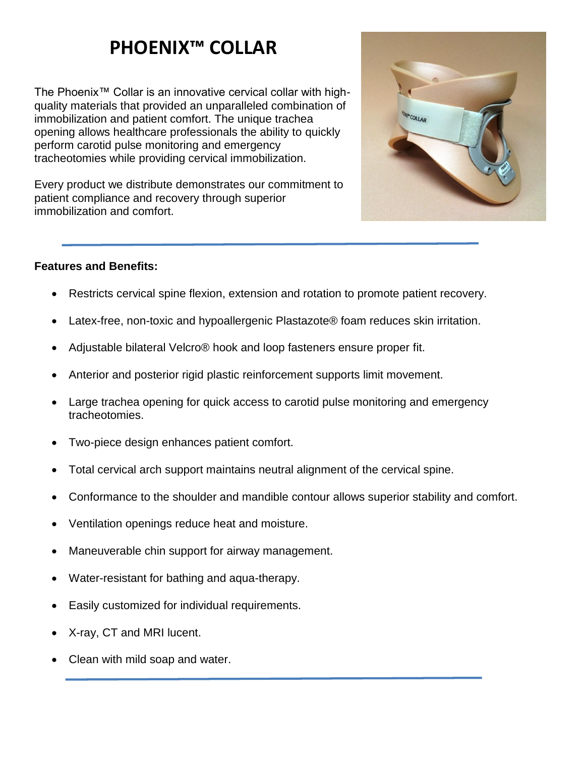# **PHOENIX™ COLLAR**

The Phoenix™ Collar is an innovative cervical collar with highquality materials that provided an unparalleled combination of immobilization and patient comfort. The unique trachea opening allows healthcare professionals the ability to quickly perform carotid pulse monitoring and emergency tracheotomies while providing cervical immobilization.

Every product we distribute demonstrates our commitment to patient compliance and recovery through superior immobilization and comfort.

#### **Features and Benefits:**

- Restricts cervical spine flexion, extension and rotation to promote patient recovery.
- Latex-free, non-toxic and hypoallergenic Plastazote® foam reduces skin irritation.
- Adjustable bilateral Velcro® hook and loop fasteners ensure proper fit.
- Anterior and posterior rigid plastic reinforcement supports limit movement.
- Large trachea opening for quick access to carotid pulse monitoring and emergency tracheotomies.
- Two-piece design enhances patient comfort.
- Total cervical arch support maintains neutral alignment of the cervical spine.
- Conformance to the shoulder and mandible contour allows superior stability and comfort.
- Ventilation openings reduce heat and moisture.
- Maneuverable chin support for airway management.
- Water-resistant for bathing and aqua-therapy.
- Easily customized for individual requirements.
- X-ray, CT and MRI lucent.
- Clean with mild soap and water.

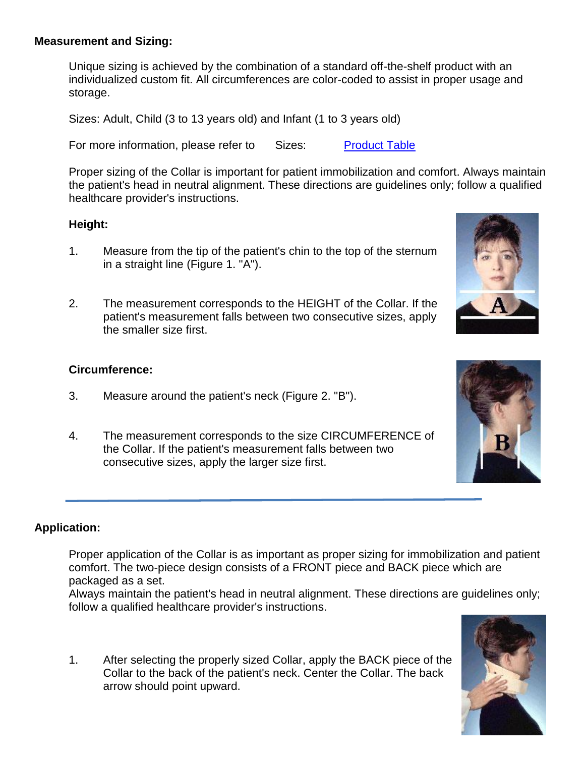#### **Measurement and Sizing:**

Unique sizing is achieved by the combination of a standard off-the-shelf product with an individualized custom fit. All circumferences are color-coded to assist in proper usage and storage.

Sizes: Adult, Child (3 to 13 years old) and Infant (1 to 3 years old)

For more information, please refer to Sizes: Product Table

Proper sizing of the Collar is important for patient immobilization and comfort. Always maintain the patient's head in neutral alignment. These directions are guidelines only; follow a qualified healthcare provider's instructions.

#### **Height:**

- 1. Measure from the tip of the patient's chin to the top of the sternum in a straight line (Figure 1. "A").
- 2. The measurement corresponds to the HEIGHT of the Collar. If the patient's measurement falls between two consecutive sizes, apply the smaller size first.

#### **Circumference:**

- 3. Measure around the patient's neck (Figure 2. "B").
- 4. The measurement corresponds to the size CIRCUMFERENCE of the Collar. If the patient's measurement falls between two consecutive sizes, apply the larger size first.

#### **Application:**

Proper application of the Collar is as important as proper sizing for immobilization and patient comfort. The two-piece design consists of a FRONT piece and BACK piece which are packaged as a set.

Always maintain the patient's head in neutral alignment. These directions are guidelines only; follow a qualified healthcare provider's instructions.

1. After selecting the properly sized Collar, apply the BACK piece of the Collar to the back of the patient's neck. Center the Collar. The back arrow should point upward.





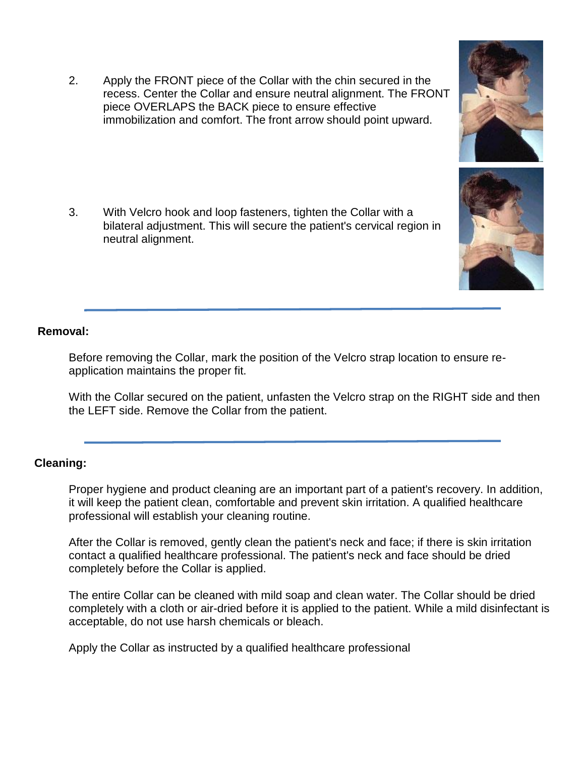2. Apply the FRONT piece of the Collar with the chin secured in the recess. Center the Collar and ensure neutral alignment. The FRONT piece OVERLAPS the BACK piece to ensure effective immobilization and comfort. The front arrow should point upward.

3. With Velcro hook and loop fasteners, tighten the Collar with a bilateral adjustment. This will secure the patient's cervical region in neutral alignment.

#### **Removal:**

Before removing the Collar, mark the position of the Velcro strap location to ensure reapplication maintains the proper fit.

With the Collar secured on the patient, unfasten the Velcro strap on the RIGHT side and then the LEFT side. Remove the Collar from the patient.

#### **Cleaning:**

Proper hygiene and product cleaning are an important part of a patient's recovery. In addition, it will keep the patient clean, comfortable and prevent skin irritation. A qualified healthcare professional will establish your cleaning routine.

After the Collar is removed, gently clean the patient's neck and face; if there is skin irritation contact a qualified healthcare professional. The patient's neck and face should be dried completely before the Collar is applied.

The entire Collar can be cleaned with mild soap and clean water. The Collar should be dried completely with a cloth or air-dried before it is applied to the patient. While a mild disinfectant is acceptable, do not use harsh chemicals or bleach.

Apply the Collar as instructed by a qualified healthcare professional